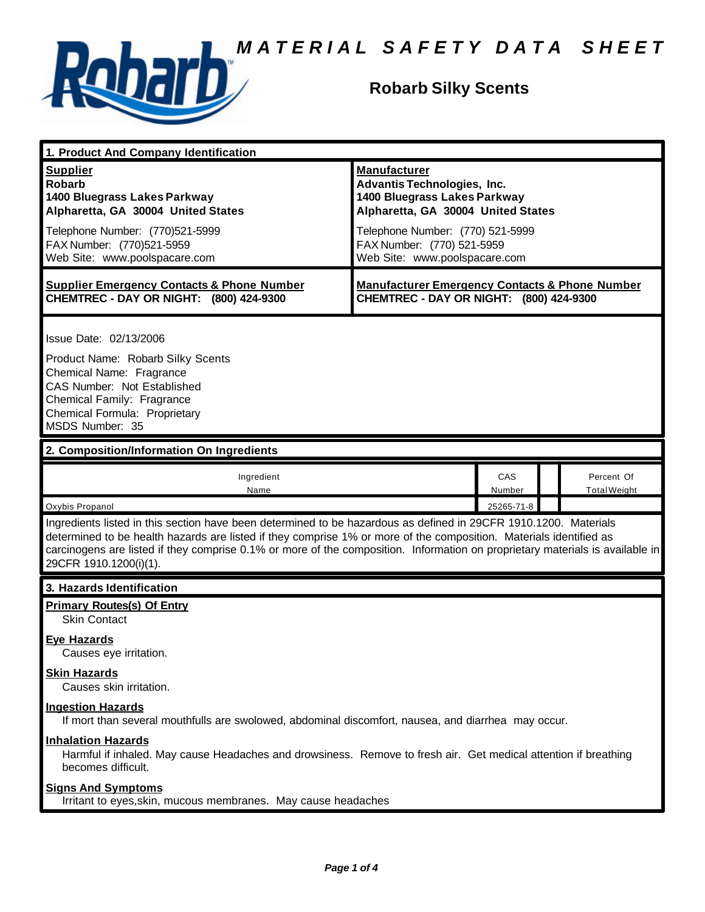

## **Robarb Silky Scents**

| 1. Product And Company Identification                                                                                                                                                                                                                                                                                                                                                             |                                                                                                                                                                                                                                    |               |  |                                   |  |
|---------------------------------------------------------------------------------------------------------------------------------------------------------------------------------------------------------------------------------------------------------------------------------------------------------------------------------------------------------------------------------------------------|------------------------------------------------------------------------------------------------------------------------------------------------------------------------------------------------------------------------------------|---------------|--|-----------------------------------|--|
| <b>Supplier</b><br><b>Robarb</b><br>1400 Bluegrass Lakes Parkway<br>Alpharetta, GA 30004 United States<br>Telephone Number: (770)521-5999<br>FAX Number: (770)521-5959                                                                                                                                                                                                                            | <b>Manufacturer</b><br><b>Advantis Technologies, Inc.</b><br>1400 Bluegrass Lakes Parkway<br>Alpharetta, GA 30004 United States<br>Telephone Number: (770) 521-5999<br>FAX Number: (770) 521-5959<br>Web Site: www.poolspacare.com |               |  |                                   |  |
| Web Site: www.poolspacare.com                                                                                                                                                                                                                                                                                                                                                                     |                                                                                                                                                                                                                                    |               |  |                                   |  |
| <b>Supplier Emergency Contacts &amp; Phone Number</b><br>CHEMTREC - DAY OR NIGHT: (800) 424-9300                                                                                                                                                                                                                                                                                                  | <b>Manufacturer Emergency Contacts &amp; Phone Number</b><br>CHEMTREC - DAY OR NIGHT: (800) 424-9300                                                                                                                               |               |  |                                   |  |
| Issue Date: 02/13/2006<br>Product Name: Robarb Silky Scents<br>Chemical Name: Fragrance<br>CAS Number: Not Established<br>Chemical Family: Fragrance<br>Chemical Formula: Proprietary<br>MSDS Number: 35                                                                                                                                                                                          |                                                                                                                                                                                                                                    |               |  |                                   |  |
| 2. Composition/Information On Ingredients                                                                                                                                                                                                                                                                                                                                                         |                                                                                                                                                                                                                                    |               |  |                                   |  |
| Ingredient<br>Name                                                                                                                                                                                                                                                                                                                                                                                |                                                                                                                                                                                                                                    | CAS<br>Number |  | Percent Of<br><b>Total Weight</b> |  |
| Oxybis Propanol                                                                                                                                                                                                                                                                                                                                                                                   |                                                                                                                                                                                                                                    | 25265-71-8    |  |                                   |  |
| Ingredients listed in this section have been determined to be hazardous as defined in 29CFR 1910.1200. Materials<br>determined to be health hazards are listed if they comprise 1% or more of the composition. Materials identified as<br>carcinogens are listed if they comprise 0.1% or more of the composition. Information on proprietary materials is available in<br>29CFR 1910.1200(i)(1). |                                                                                                                                                                                                                                    |               |  |                                   |  |
| 3. Hazards Identification                                                                                                                                                                                                                                                                                                                                                                         |                                                                                                                                                                                                                                    |               |  |                                   |  |
| <b>Primary Routes(s) Of Entry</b><br><b>Skin Contact</b>                                                                                                                                                                                                                                                                                                                                          |                                                                                                                                                                                                                                    |               |  |                                   |  |
| <b>Eye Hazards</b><br>Causes eye irritation.                                                                                                                                                                                                                                                                                                                                                      |                                                                                                                                                                                                                                    |               |  |                                   |  |
| <b>Skin Hazards</b><br>Causes skin irritation.                                                                                                                                                                                                                                                                                                                                                    |                                                                                                                                                                                                                                    |               |  |                                   |  |
| <b>Ingestion Hazards</b><br>If mort than several mouthfulls are swolowed, abdominal discomfort, nausea, and diarrhea may occur.                                                                                                                                                                                                                                                                   |                                                                                                                                                                                                                                    |               |  |                                   |  |
| <b>Inhalation Hazards</b><br>Harmful if inhaled. May cause Headaches and drowsiness. Remove to fresh air. Get medical attention if breathing<br>becomes difficult.                                                                                                                                                                                                                                |                                                                                                                                                                                                                                    |               |  |                                   |  |
| <b>Signs And Symptoms</b><br>Irritant to eyes, skin, mucous membranes. May cause headaches                                                                                                                                                                                                                                                                                                        |                                                                                                                                                                                                                                    |               |  |                                   |  |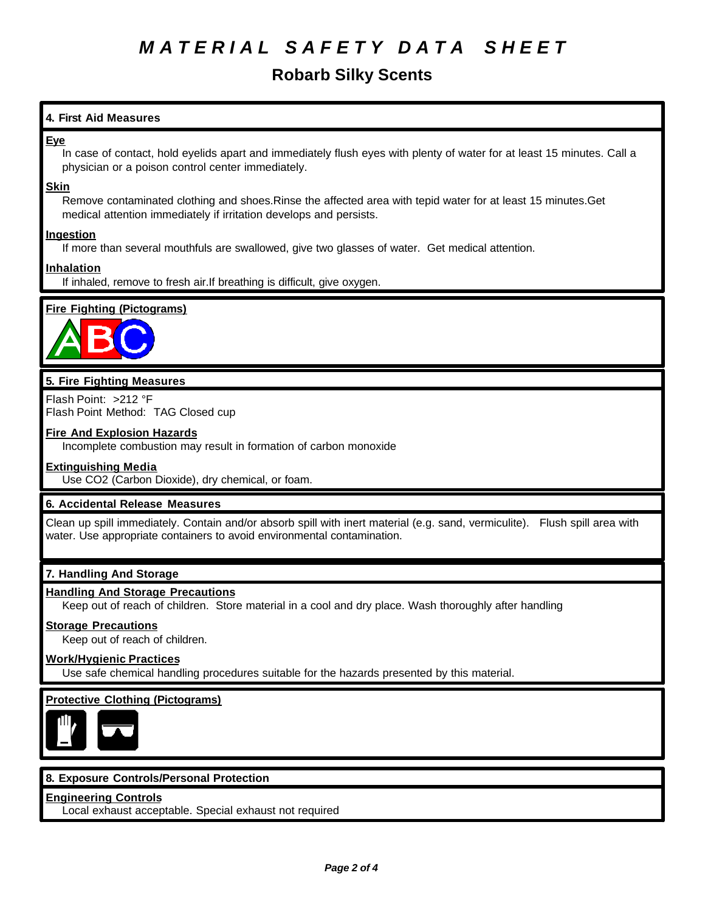### **Robarb Silky Scents**

#### **4. First Aid Measures**

#### **Eye**

In case of contact, hold eyelids apart and immediately flush eyes with plenty of water for at least 15 minutes. Call a physician or a poison control center immediately.

#### **Skin**

Remove contaminated clothing and shoes.Rinse the affected area with tepid water for at least 15 minutes.Get medical attention immediately if irritation develops and persists.

#### **Ingestion**

If more than several mouthfuls are swallowed, give two glasses of water. Get medical attention.

#### **Inhalation**

If inhaled, remove to fresh air.If breathing is difficult, give oxygen.

#### **Fire Fighting (Pictograms)**



### **5. Fire Fighting Measures**

Flash Point: >212 °F Flash Point Method: TAG Closed cup

#### **Fire And Explosion Hazards**

Incomplete combustion may result in formation of carbon monoxide

#### **Extinguishing Media**

Use CO2 (Carbon Dioxide), dry chemical, or foam.

#### **6. Accidental Release Measures**

Clean up spill immediately. Contain and/or absorb spill with inert material (e.g. sand, vermiculite). Flush spill area with water. Use appropriate containers to avoid environmental contamination.

#### **7. Handling And Storage**

#### **Handling And Storage Precautions**

Keep out of reach of children. Store material in a cool and dry place. Wash thoroughly after handling

#### **Storage Precautions**

Keep out of reach of children.

#### **Work/Hygienic Practices**

Use safe chemical handling procedures suitable for the hazards presented by this material.

#### **Protective Clothing (Pictograms)**



#### **8. Exposure Controls/Personal Protection**

#### **Engineering Controls**

Local exhaust acceptable. Special exhaust not required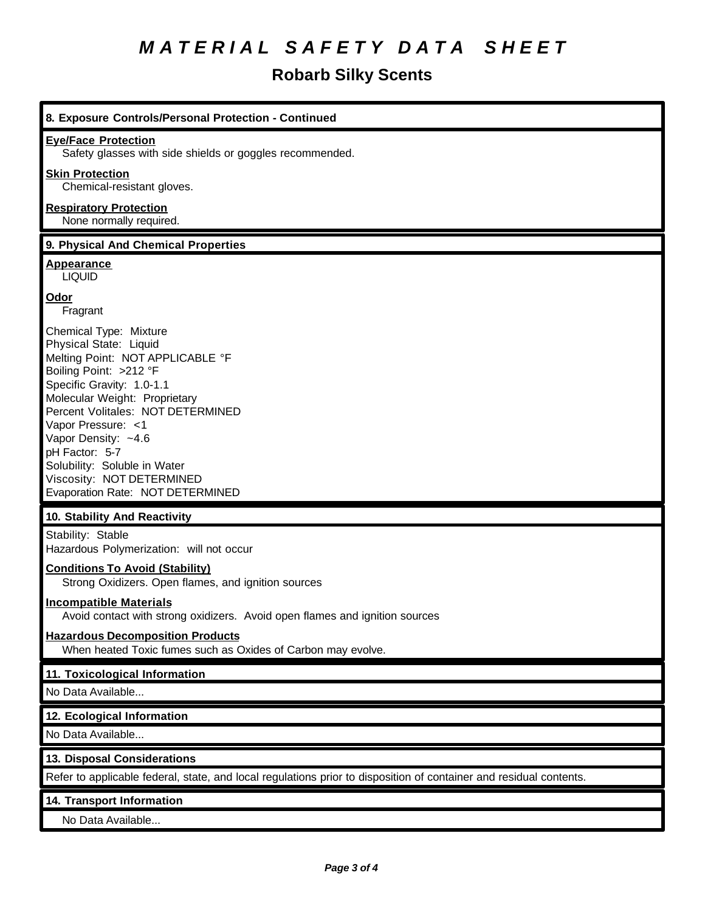## **Robarb Silky Scents**

| <b>Eye/Face Protection</b>                                                                                                                                                                                                                                                                                                                                                        |
|-----------------------------------------------------------------------------------------------------------------------------------------------------------------------------------------------------------------------------------------------------------------------------------------------------------------------------------------------------------------------------------|
| Safety glasses with side shields or goggles recommended.                                                                                                                                                                                                                                                                                                                          |
| <b>Skin Protection</b><br>Chemical-resistant gloves.                                                                                                                                                                                                                                                                                                                              |
| <b>Respiratory Protection</b><br>None normally required.                                                                                                                                                                                                                                                                                                                          |
| 9. Physical And Chemical Properties                                                                                                                                                                                                                                                                                                                                               |
| Appearance<br><b>LIQUID</b>                                                                                                                                                                                                                                                                                                                                                       |
| <b>Odor</b><br>Fragrant                                                                                                                                                                                                                                                                                                                                                           |
| Chemical Type: Mixture<br>Physical State: Liquid<br>Melting Point: NOT APPLICABLE °F<br>Boiling Point: >212 °F<br>Specific Gravity: 1.0-1.1<br>Molecular Weight: Proprietary<br>Percent Volitales: NOT DETERMINED<br>Vapor Pressure: <1<br>Vapor Density: ~4.6<br>pH Factor: 5-7<br>Solubility: Soluble in Water<br>Viscosity: NOT DETERMINED<br>Evaporation Rate: NOT DETERMINED |
| 10. Stability And Reactivity                                                                                                                                                                                                                                                                                                                                                      |
| Stability: Stable<br>Hazardous Polymerization: will not occur                                                                                                                                                                                                                                                                                                                     |
| <b>Conditions To Avoid (Stability)</b><br>Strong Oxidizers. Open flames, and ignition sources                                                                                                                                                                                                                                                                                     |
| <b>Incompatible Materials</b><br>Avoid contact with strong oxidizers. Avoid open flames and ignition sources                                                                                                                                                                                                                                                                      |
| <b>Hazardous Decomposition Products</b><br>When heated Toxic fumes such as Oxides of Carbon may evolve.                                                                                                                                                                                                                                                                           |
| 11. Toxicological Information                                                                                                                                                                                                                                                                                                                                                     |
| No Data Available                                                                                                                                                                                                                                                                                                                                                                 |
| 12. Ecological Information                                                                                                                                                                                                                                                                                                                                                        |
| No Data Available                                                                                                                                                                                                                                                                                                                                                                 |
| 13. Disposal Considerations                                                                                                                                                                                                                                                                                                                                                       |
| Refer to applicable federal, state, and local regulations prior to disposition of container and residual contents.                                                                                                                                                                                                                                                                |
| 14. Transport Information                                                                                                                                                                                                                                                                                                                                                         |
| No Data Available                                                                                                                                                                                                                                                                                                                                                                 |